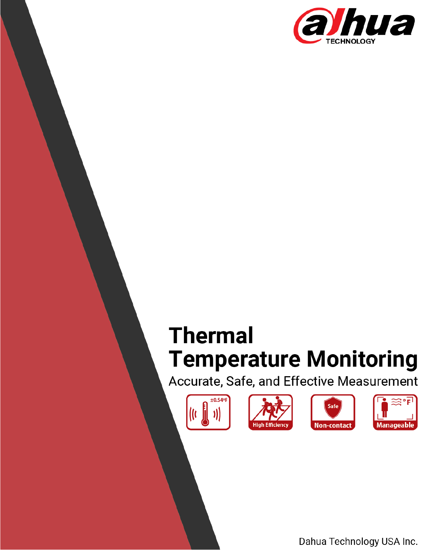

# **Thermal Temperature Monitoring**

Accurate, Safe, and Effective Measurement











Dahua Technology USA Inc.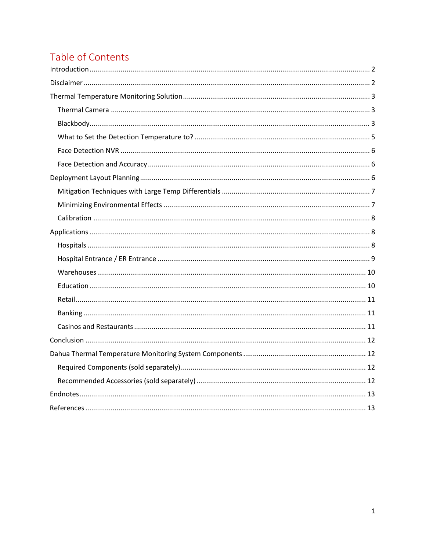## Table of Contents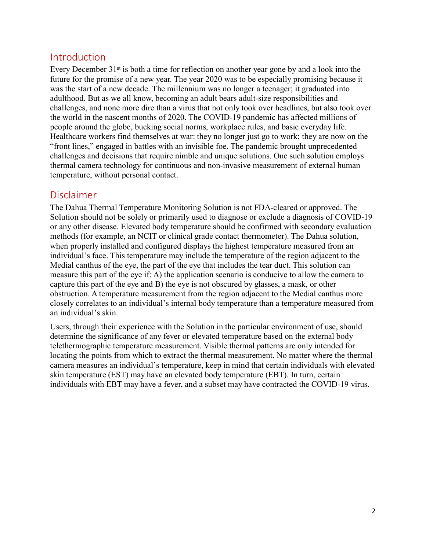## <span id="page-2-0"></span>Introduction

Every December 31<sup>st</sup> is both a time for reflection on another year gone by and a look into the future for the promise of a new year. The year 2020 was to be especially promising because it was the start of a new decade. The millennium was no longer a teenager; it graduated into adulthood. But as we all know, becoming an adult bears adult-size responsibilities and challenges, and none more dire than a virus that not only took over headlines, but also took over the world in the nascent months of 2020. The COVID-19 pandemic has affected millions of people around the globe, bucking social norms, workplace rules, and basic everyday life. Healthcare workers find themselves at war: they no longer just go to work; they are now on the "front lines," engaged in battles with an invisible foe. The pandemic brought unprecedented challenges and decisions that require nimble and unique solutions. One such solution employs thermal camera technology for continuous and non-invasive measurement of external human temperature, without personal contact.

## <span id="page-2-1"></span>Disclaimer

The Dahua Thermal Temperature Monitoring Solution is not FDA-cleared or approved. The Solution should not be solely or primarily used to diagnose or exclude a diagnosis of COVID-19 or any other disease. Elevated body temperature should be confirmed with secondary evaluation methods (for example, an NCIT or clinical grade contact thermometer). The Dahua solution, when properly installed and configured displays the highest temperature measured from an individual's face. This temperature may include the temperature of the region adjacent to the Medial canthus of the eye, the part of the eye that includes the tear duct. This solution can measure this part of the eye if: A) the application scenario is conducive to allow the camera to capture this part of the eye and B) the eye is not obscured by glasses, a mask, or other obstruction. A temperature measurement from the region adjacent to the Medial canthus more closely correlates to an individual's internal body temperature than a temperature measured from an individual's skin.

Users, through their experience with the Solution in the particular environment of use, should determine the significance of any fever or elevated temperature based on the external body telethermographic temperature measurement. Visible thermal patterns are only intended for locating the points from which to extract the thermal measurement. No matter where the thermal camera measures an individual's temperature, keep in mind that certain individuals with elevated skin temperature (EST) may have an elevated body temperature (EBT). In turn, certain individuals with EBT may have a fever, and a subset may have contracted the COVID-19 virus.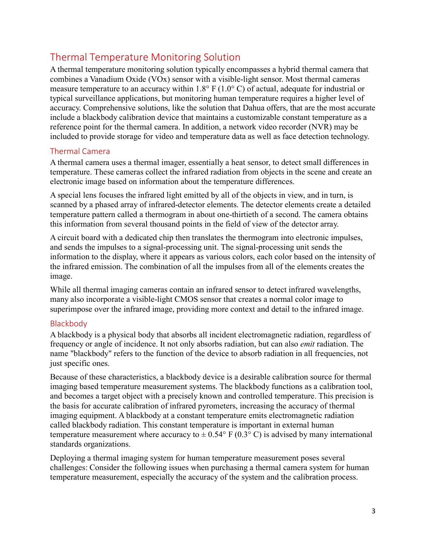## <span id="page-3-0"></span>Thermal Temperature Monitoring Solution

A thermal temperature monitoring solution typically encompasses a hybrid thermal camera that combines a Vanadium Oxide (VOx) sensor with a visible-light sensor. Most thermal cameras measure temperature to an accuracy within 1.8° F (1.0° C) of actual, adequate for industrial or typical surveillance applications, but monitoring human temperature requires a higher level of accuracy. Comprehensive solutions, like the solution that Dahua offers, that are the most accurate include a blackbody calibration device that maintains a customizable constant temperature as a reference point for the thermal camera. In addition, a network video recorder (NVR) may be included to provide storage for video and temperature data as well as face detection technology.

### <span id="page-3-1"></span>Thermal Camera

A thermal camera uses a thermal imager, essentially a heat sensor, to detect small differences in temperature. These cameras collect the infrared radiation from objects in the scene and create an electronic image based on information about the temperature differences.

A special lens focuses the infrared light emitted by all of the objects in view, and in turn, is scanned by a phased array of infrared-detector elements. The detector elements create a detailed temperature pattern called a thermogram in about one-thirtieth of a second. The camera obtains this information from several thousand points in the field of view of the detector array.

A circuit board with a dedicated chip then translates the thermogram into electronic impulses, and sends the impulses to a signal-processing unit. The signal-processing unit sends the information to the display, where it appears as various colors, each color based on the intensity of the infrared emission. The combination of all the impulses from all of the elements creates the image.

While all thermal imaging cameras contain an infrared sensor to detect infrared wavelengths, many also incorporate a visible-light CMOS sensor that creates a normal color image to superimpose over the infrared image, providing more context and detail to the infrared image.

## <span id="page-3-2"></span>Blackbody

A blackbody is a physical body that absorbs all incident electromagnetic radiation, regardless of frequency or angle of incidence. It not only absorbs radiation, but can also *emit* radiation. The name "blackbody" refers to the function of the device to absorb radiation in all frequencies, not just specific ones.

Because of these characteristics, a blackbody device is a desirable calibration source for thermal imaging based temperature measurement systems. The blackbody functions as a calibration tool, and becomes a target object with a precisely known and controlled temperature. This precision is the basis for accurate calibration of infrared pyrometers, increasing the accuracy of thermal imaging equipment. A blackbody at a constant temperature emits electromagnetic radiation called blackbody radiation. This constant temperature is important in external human temperature measurement where accuracy to  $\pm$  0.54° F (0.3° C) is advised by many international standards organizations.

Deploying a thermal imaging system for human temperature measurement poses several challenges: Consider the following issues when purchasing a thermal camera system for human temperature measurement, especially the accuracy of the system and the calibration process.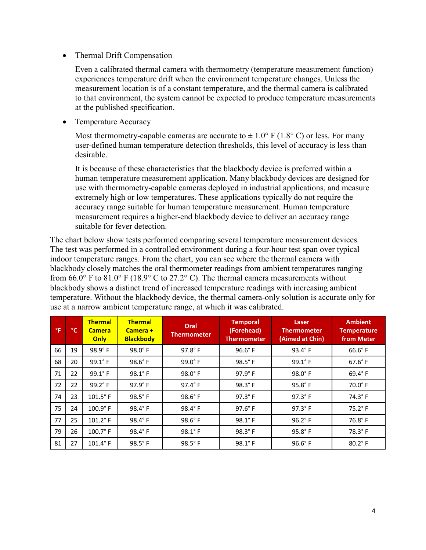• Thermal Drift Compensation

Even a calibrated thermal camera with thermometry (temperature measurement function) experiences temperature drift when the environment temperature changes. Unless the measurement location is of a constant temperature, and the thermal camera is calibrated to that environment, the system cannot be expected to produce temperature measurements at the published specification.

• Temperature Accuracy

Most thermometry-capable cameras are accurate to  $\pm 1.0^{\circ}$  F (1.8° C) or less. For many user-defined human temperature detection thresholds, this level of accuracy is less than desirable.

It is because of these characteristics that the blackbody device is preferred within a human temperature measurement application. Many blackbody devices are designed for use with thermometry-capable cameras deployed in industrial applications, and measure extremely high or low temperatures. These applications typically do not require the accuracy range suitable for human temperature measurement. Human temperature measurement requires a higher-end blackbody device to deliver an accuracy range suitable for fever detection.

The chart below show tests performed comparing several temperature measurement devices. The test was performed in a controlled environment during a four-hour test span over typical indoor temperature ranges. From the chart, you can see where the thermal camera with blackbody closely matches the oral thermometer readings from ambient temperatures ranging from 66.0° F to 81.0° F (18.9° C to 27.2° C). The thermal camera measurements without blackbody shows a distinct trend of increased temperature readings with increasing ambient temperature. Without the blackbody device, the thermal camera-only solution is accurate only for use at a narrow ambient temperature range, at which it was calibrated.

| °F | °C. | <b>Thermal</b><br><b>Camera</b><br>Only | <b>Thermal</b><br>Camera +<br><b>Blackbody</b> | Oral<br><b>Thermometer</b> | <b>Temporal</b><br>(Forehead)<br><b>Thermometer</b> | Laser<br><b>Thermometer</b><br>(Aimed at Chin) | <b>Ambient</b><br><b>Temperature</b><br>from Meter |
|----|-----|-----------------------------------------|------------------------------------------------|----------------------------|-----------------------------------------------------|------------------------------------------------|----------------------------------------------------|
| 66 | 19  | $98.9^{\circ}$ F                        | $98.0^\circ$ F                                 | $97.8^\circ$ F             | $96.6^\circ$ F                                      | $93.4^\circ$ F                                 | $66.6^\circ$ F                                     |
| 68 | 20  | $99.1^\circ$ F                          | 98.6°F                                         | $99.0^\circ$ F             | $98.5^{\circ}$ F                                    | $99.1^\circ$ F                                 | $67.6^\circ$ F                                     |
| 71 | 22  | 99.1°F                                  | 98.1°F                                         | $98.0^\circ$ F             | $97.9^\circ$ F                                      | $98.0^\circ$ F                                 | $69.4^\circ$ F                                     |
| 72 | 22  | 99.2°F                                  | 97.9°F                                         | 97.4°F                     | $98.3^\circ$ F                                      | $95.8^\circ$ F                                 | $70.0^\circ$ F                                     |
| 74 | 23  | $101.5^\circ$ F                         | $98.5^{\circ}$ F                               | $98.6^\circ$ F             | $97.3^\circ$ F                                      | $97.3^\circ$ F                                 | $74.3^\circ$ F                                     |
| 75 | 24  | $100.9^\circ$ F                         | 98.4°F                                         | $98.4^{\circ}$ F           | 97.6°F                                              | $97.3^\circ$ F                                 | $75.2^\circ$ F                                     |
| 77 | 25  | $101.2$ °F                              | 98.4°F                                         | $98.6^\circ$ F             | $98.1^\circ$ F                                      | $96.2^{\circ}$ F                               | $76.8^\circ$ F                                     |
| 79 | 26  | $100.7^{\circ}$ F                       | 98.4°F                                         | $98.1^\circ$ F             | $98.3^\circ$ F                                      | $95.8^\circ$ F                                 | $78.3^\circ$ F                                     |
| 81 | 27  | $101.4^\circ$ F                         | 98.5°F                                         | 98.5°F                     | 98.1°F                                              | $96.6^\circ$ F                                 | $80.2^{\circ}$ F                                   |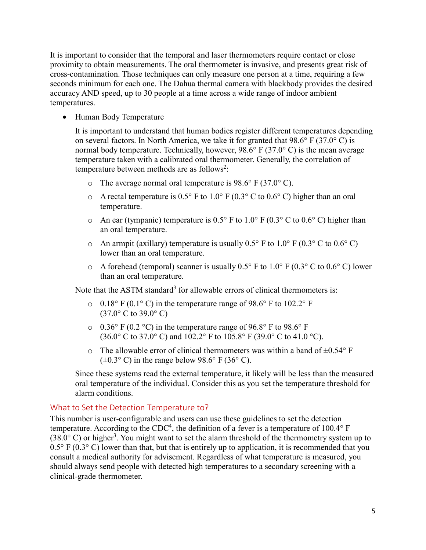It is important to consider that the temporal and laser thermometers require contact or close proximity to obtain measurements. The oral thermometer is invasive, and presents great risk of cross-contamination. Those techniques can only measure one person at a time, requiring a few seconds minimum for each one. The Dahua thermal camera with blackbody provides the desired accuracy AND speed, up to 30 people at a time across a wide range of indoor ambient temperatures.

• Human Body Temperature

It is important to understand that human bodies register different temperatures depending on several factors. In North America, we take it for granted that  $98.6^{\circ}$  F (37.0° C) is normal body temperature. Technically, however,  $98.6^{\circ}$  F (37.0° C) is the mean average temperature taken with a calibrated oral thermometer. Generally, the correlation of temperature between methods are as follows<sup>2</sup>:

- $\circ$  The average normal oral temperature is 98.6° F (37.0° C).
- $\circ$  A rectal temperature is 0.5° F to 1.0° F (0.3° C to 0.6° C) higher than an oral temperature.
- o An ear (tympanic) temperature is  $0.5^{\circ}$  F to  $1.0^{\circ}$  F ( $0.3^{\circ}$  C to  $0.6^{\circ}$  C) higher than an oral temperature.
- $\circ$  An armpit (axillary) temperature is usually 0.5° F to 1.0° F (0.3° C to 0.6° C) lower than an oral temperature.
- $\circ$  A forehead (temporal) scanner is usually 0.5° F to 1.0° F (0.3° C to 0.6° C) lower than an oral temperature.

Note that the ASTM standard<sup>3</sup> for allowable errors of clinical thermometers is:

- $\circ$  0.18° F (0.1° C) in the temperature range of 98.6° F to 102.2° F  $(37.0^{\circ} \text{ C to } 39.0^{\circ} \text{ C})$
- $\circ$  0.36° F (0.2 °C) in the temperature range of 96.8° F to 98.6° F (36.0° C to 37.0° C) and 102.2° F to 105.8° F (39.0° C to 41.0 °C).
- $\circ$  The allowable error of clinical thermometers was within a band of  $\pm 0.54^{\circ}$  F  $(\pm 0.3^{\circ} \text{ C})$  in the range below 98.6° F (36° C).

Since these systems read the external temperature, it likely will be less than the measured oral temperature of the individual. Consider this as you set the temperature threshold for alarm conditions.

#### <span id="page-5-0"></span>What to Set the Detection Temperature to?

This number is user-configurable and users can use these guidelines to set the detection temperature. According to the CDC<sup>4</sup>, the definition of a fever is a temperature of 100.4° F  $(38.0^{\circ}$  C) or higher<sup>3</sup>. You might want to set the alarm threshold of the thermometry system up to  $0.5^{\circ}$  F ( $0.3^{\circ}$  C) lower than that, but that is entirely up to application, it is recommended that you consult a medical authority for advisement. Regardless of what temperature is measured, you should always send people with detected high temperatures to a secondary screening with a clinical-grade thermometer.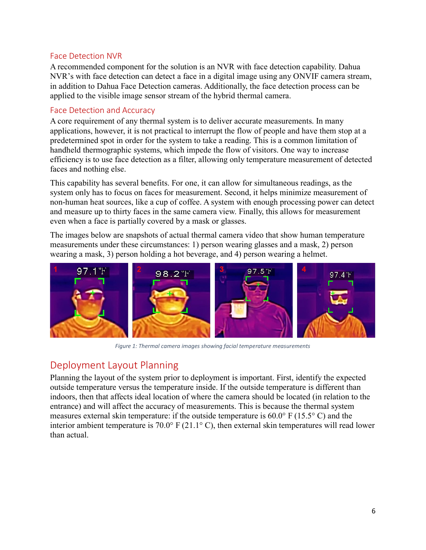#### <span id="page-6-0"></span>Face Detection NVR

A recommended component for the solution is an NVR with face detection capability. Dahua NVR's with face detection can detect a face in a digital image using any ONVIF camera stream, in addition to Dahua Face Detection cameras. Additionally, the face detection process can be applied to the visible image sensor stream of the hybrid thermal camera.

### <span id="page-6-1"></span>Face Detection and Accuracy

A core requirement of any thermal system is to deliver accurate measurements. In many applications, however, it is not practical to interrupt the flow of people and have them stop at a predetermined spot in order for the system to take a reading. This is a common limitation of handheld thermographic systems, which impede the flow of visitors. One way to increase efficiency is to use face detection as a filter, allowing only temperature measurement of detected faces and nothing else.

This capability has several benefits. For one, it can allow for simultaneous readings, as the system only has to focus on faces for measurement. Second, it helps minimize measurement of non-human heat sources, like a cup of coffee. A system with enough processing power can detect and measure up to thirty faces in the same camera view. Finally, this allows for measurement even when a face is partially covered by a mask or glasses.

The images below are snapshots of actual thermal camera video that show human temperature measurements under these circumstances: 1) person wearing glasses and a mask, 2) person wearing a mask, 3) person holding a hot beverage, and 4) person wearing a helmet.



*Figure 1: Thermal camera images showing facial temperature measurements*

## <span id="page-6-2"></span>Deployment Layout Planning

Planning the layout of the system prior to deployment is important. First, identify the expected outside temperature versus the temperature inside. If the outside temperature is different than indoors, then that affects ideal location of where the camera should be located (in relation to the entrance) and will affect the accuracy of measurements. This is because the thermal system measures external skin temperature: if the outside temperature is 60.0° F (15.5° C) and the interior ambient temperature is 70.0° F (21.1° C), then external skin temperatures will read lower than actual.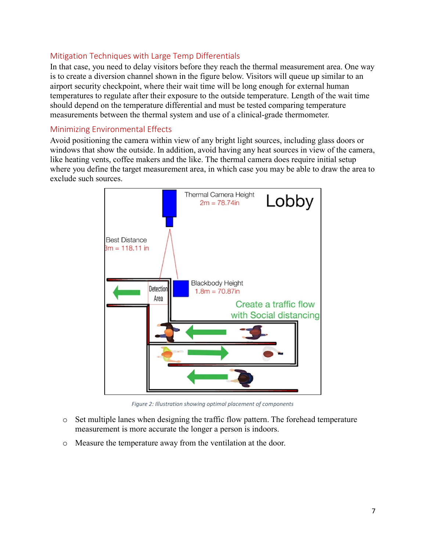## <span id="page-7-0"></span>Mitigation Techniques with Large Temp Differentials

In that case, you need to delay visitors before they reach the thermal measurement area. One way is to create a diversion channel shown in the figure below. Visitors will queue up similar to an airport security checkpoint, where their wait time will be long enough for external human temperatures to regulate after their exposure to the outside temperature. Length of the wait time should depend on the temperature differential and must be tested comparing temperature measurements between the thermal system and use of a clinical-grade thermometer.

#### <span id="page-7-1"></span>Minimizing Environmental Effects

Avoid positioning the camera within view of any bright light sources, including glass doors or windows that show the outside. In addition, avoid having any heat sources in view of the camera, like heating vents, coffee makers and the like. The thermal camera does require initial setup where you define the target measurement area, in which case you may be able to draw the area to exclude such sources.



*Figure 2: Illustration showing optimal placement of components*

- o Set multiple lanes when designing the traffic flow pattern. The forehead temperature measurement is more accurate the longer a person is indoors.
- o Measure the temperature away from the ventilation at the door.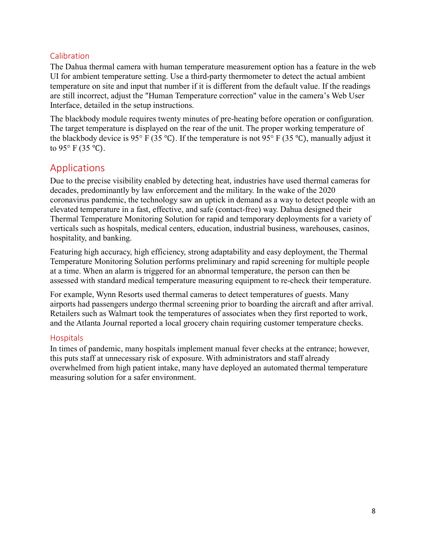## <span id="page-8-0"></span>Calibration

The Dahua thermal camera with human temperature measurement option has a feature in the web UI for ambient temperature setting. Use a third-party thermometer to detect the actual ambient temperature on site and input that number if it is different from the default value. If the readings are still incorrect, adjust the "Human Temperature correction" value in the camera's Web User Interface, detailed in the setup instructions.

The blackbody module requires twenty minutes of pre-heating before operation or configuration. The target temperature is displayed on the rear of the unit. The proper working temperature of the blackbody device is 95° F (35 °C). If the temperature is not 95° F (35 °C), manually adjust it to 95 $\degree$  F (35 $\degree$ C).

## <span id="page-8-1"></span>Applications

Due to the precise visibility enabled by detecting heat, industries have used thermal cameras for decades, predominantly by law enforcement and the military. In the wake of the 2020 coronavirus pandemic, the technology saw an uptick in demand as a way to detect people with an elevated temperature in a fast, effective, and safe (contact-free) way. Dahua designed their Thermal Temperature Monitoring Solution for rapid and temporary deployments for a variety of verticals such as hospitals, medical centers, education, industrial business, warehouses, casinos, hospitality, and banking.

Featuring high accuracy, high efficiency, strong adaptability and easy deployment, the Thermal Temperature Monitoring Solution performs preliminary and rapid screening for multiple people at a time. When an alarm is triggered for an abnormal temperature, the person can then be assessed with standard medical temperature measuring equipment to re-check their temperature.

For example, Wynn Resorts used thermal cameras to detect temperatures of guests. Many airports had passengers undergo [thermal screening](https://gulfnews.com/business/aviation/coronavirus-thermal-screening-a-must-for-all-emirates-passengers-to-us-from-dubai-1.70339665) prior to boarding the aircraft and after arrival. Retailers such as Walmart took the temperatures of associates when they first reported to work, and the Atlanta Journal reported a local grocery chain requiring customer temperature checks.

#### <span id="page-8-2"></span>**Hospitals**

In times of pandemic, many hospitals implement manual fever checks at the entrance; however, this puts staff at unnecessary risk of exposure. With administrators and staff already overwhelmed from high patient intake, many have deployed an automated thermal temperature measuring solution for a safer environment.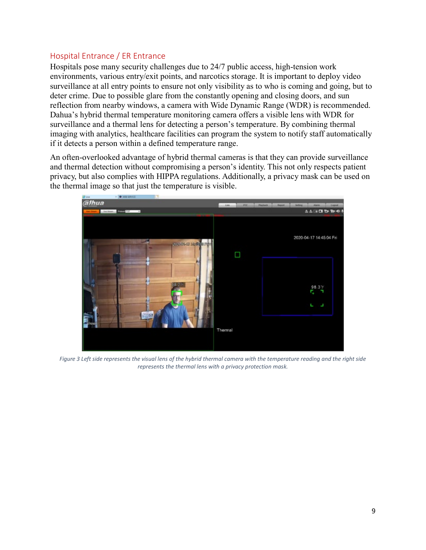## <span id="page-9-0"></span>Hospital Entrance / ER Entrance

Hospitals pose many security challenges due to 24/7 public access, high-tension work environments, various entry/exit points, and narcotics storage. It is important to deploy video surveillance at all entry points to ensure not only visibility as to who is coming and going, but to deter crime. Due to possible glare from the constantly opening and closing doors, and sun reflection from nearby windows, a camera with Wide Dynamic Range (WDR) is recommended. Dahua's hybrid thermal temperature monitoring camera offers a visible lens with WDR for surveillance and a thermal lens for detecting a person's temperature. By combining thermal imaging with analytics, healthcare facilities can program the system to notify staff automatically if it detects a person within a defined temperature range.

An often-overlooked advantage of hybrid thermal cameras is that they can provide surveillance and thermal detection without compromising a person's identity. This not only respects patient privacy, but also complies with HIPPA regulations. Additionally, a privacy mask can be used on the thermal image so that just the temperature is visible.



*Figure 3 Left side represents the visual lens of the hybrid thermal camera with the temperature reading and the right side represents the thermal lens with a privacy protection mask.*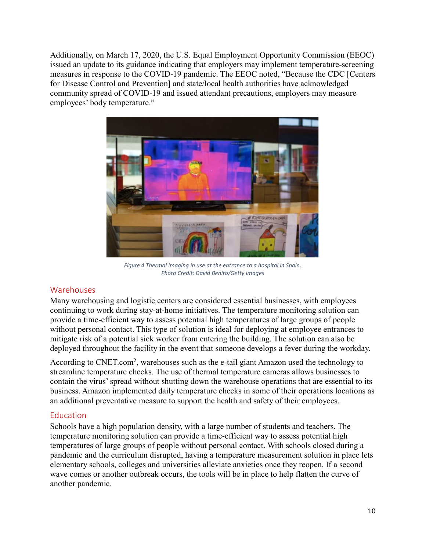Additionally, on March 17, 2020, the U.S. Equal Employment Opportunity Commission (EEOC) issued an [update to its guidance](https://www1.eeoc.gov/eeoc/newsroom/wysk/wysk_ada_rehabilitaion_act_coronavirus.cfm?renderforprint=1) indicating that employers may implement temperature-screening measures in response to the COVID-19 pandemic. The EEOC noted, "Because the CDC [Centers for Disease Control and Prevention] and state/local health authorities have acknowledged community spread of COVID-19 and issued attendant precautions, employers may measure employees' body temperature."



*Figure 4 Thermal imaging in use at the entrance to a hospital in Spain. Photo Credit: David Benito/Getty Images*

#### <span id="page-10-0"></span>Warehouses

Many warehousing and logistic centers are considered essential businesses, with employees continuing to work during stay-at-home initiatives. The temperature monitoring solution can provide a time-efficient way to assess potential high temperatures of large groups of people without personal contact. This type of solution is ideal for deploying at employee entrances to mitigate risk of a potential sick worker from entering the building. The solution can also be deployed throughout the facility in the event that someone develops a fever during the workday.

According to CNET.com<sup>5</sup>, warehouses such as the e-tail giant Amazon used the technology to streamline temperature checks. The use of thermal temperature cameras allows businesses to contain the virus' spread without shutting down the warehouse operations that are essential to its business. Amazon implemented daily temperature checks in some of their operations locations as an additional preventative measure to support the health and safety of their employees.

#### <span id="page-10-1"></span>Education

Schools have a high population density, with a large number of students and teachers. The temperature monitoring solution can provide a time-efficient way to assess potential high temperatures of large groups of people without personal contact. With schools closed during a pandemic and the curriculum disrupted, having a temperature measurement solution in place lets elementary schools, colleges and universities alleviate anxieties once they reopen. If a second wave comes or another outbreak occurs, the tools will be in place to help flatten the curve of another pandemic.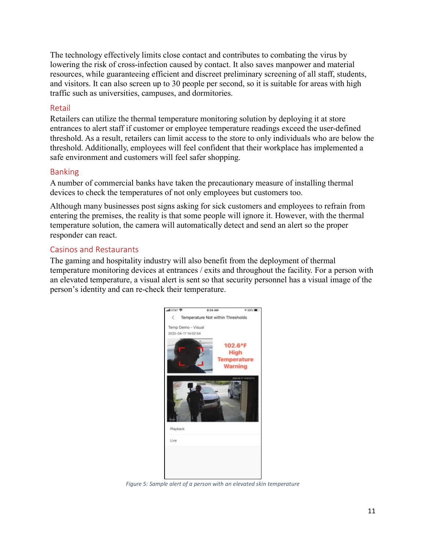The technology effectively limits close contact and contributes to combating the virus by lowering the risk of cross-infection caused by contact. It also saves manpower and material resources, while guaranteeing efficient and discreet preliminary screening of all staff, students, and visitors. It can also screen up to 30 people per second, so it is suitable for areas with high traffic such as universities, campuses, and dormitories.

## <span id="page-11-0"></span>Retail

Retailers can utilize the thermal temperature monitoring solution by deploying it at store entrances to alert staff if customer or employee temperature readings exceed the user-defined threshold. As a result, retailers can limit access to the store to only individuals who are below the threshold. Additionally, employees will feel confident that their workplace has implemented a safe environment and customers will feel safer shopping.

#### <span id="page-11-1"></span>Banking

A number of commercial banks have taken the precautionary measure of installing thermal devices to check the temperatures of not only employees but customers too.

Although many businesses post signs asking for sick customers and employees to refrain from entering the premises, the reality is that some people will ignore it. However, with the thermal temperature solution, the camera will automatically detect and send an alert so the proper responder can react.

## <span id="page-11-2"></span>Casinos and Restaurants

The gaming and hospitality industry will also benefit from the deployment of thermal temperature monitoring devices at entrances / exits and throughout the facility. For a person with an elevated temperature, a visual alert is sent so that security personnel has a visual image of the person's identity and can re-check their temperature.



*Figure 5: Sample alert of a person with an elevated skin temperature*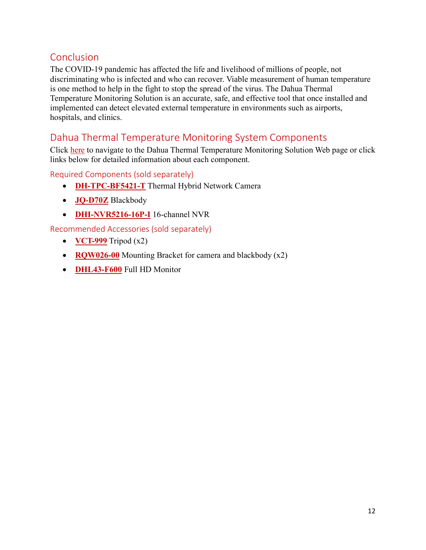## <span id="page-12-0"></span>Conclusion

The COVID-19 pandemic has affected the life and livelihood of millions of people, not discriminating who is infected and who can recover. Viable measurement of human temperature is one method to help in the fight to stop the spread of the virus. The Dahua Thermal Temperature Monitoring Solution is an accurate, safe, and effective tool that once installed and implemented can detect elevated external temperature in environments such as airports, hospitals, and clinics.

## <span id="page-12-1"></span>Dahua Thermal Temperature Monitoring System Components

Click [here](https://us.dahuasecurity.com/product/thermal-temperature-monitoring-solution/) to navigate to the Dahua Thermal Temperature Monitoring Solution Web page or click links below for detailed information about each component.

<span id="page-12-2"></span>Required Components (sold separately)

- **[DH-TPC-BF5421-T](https://us.dahuasecurity.com/product/300-x-400-hybrid-thermal-epoe-network-bullet-camera/)** Thermal Hybrid Network Camera
- **[JQ-D70Z](https://us.dahuasecurity.com/product/thermal-temperature-monitoring-solution/)** Blackbody
- **[DHI-NVR5216-16P-I](https://us.dahuasecurity.com/product/4k-16-ch-1u-nvr-with-analytics-5216/)** 16-channel NVR

<span id="page-12-3"></span>Recommended Accessories (sold separately)

- **[VCT-999](https://us.dahuasecurity.com/product/thermal-temperature-monitoring-solution/)** Tripod (x2)
- **[RQW026-00](https://us.dahuasecurity.com/product/thermal-temperature-monitoring-solution/)** Mounting Bracket for camera and blackbody (x2)
- **[DHL43-F600](https://us.dahuasecurity.com/product/50344/)** Full HD Monitor